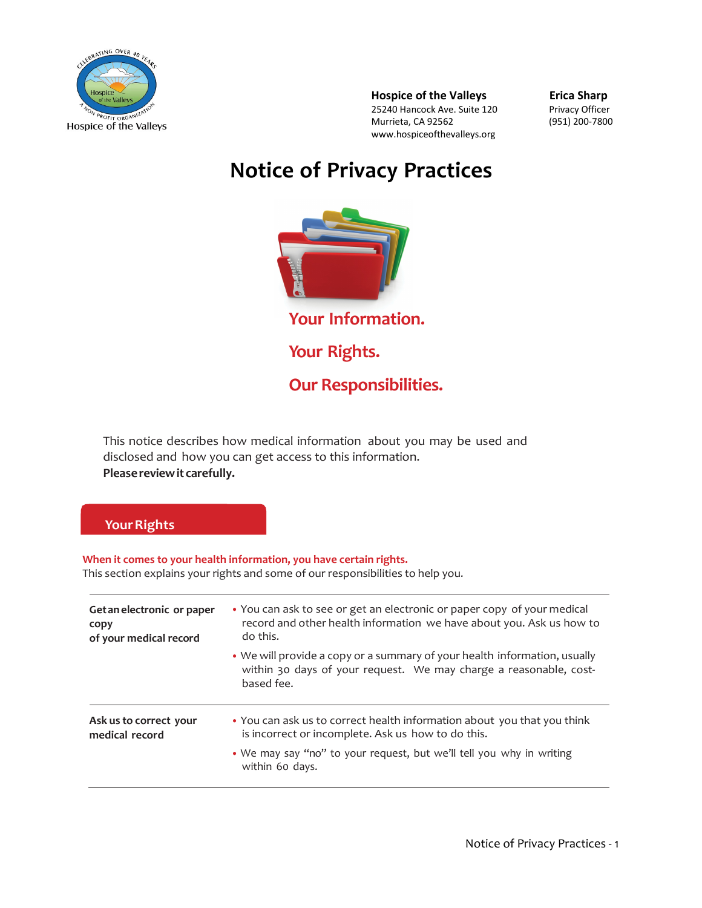

**Hospice of the Valleys Erica Sharp** 25240 Hancock Ave. Suite 120 Privacy Officer Murrieta, CA 92562 (951) 200-7800 www.hospiceofthevalleys.org

# **Notice of Privacy Practices**



This notice describes how medical information about you may be used and disclosed and how you can get access to this information. **Pleasereviewit carefully.**

## **Your Rights**

**When it comes to your health information, you have certain rights.** This section explains your rights and some of our responsibilities to help you.

| Get an electronic or paper<br>copy<br>of your medical record | • You can ask to see or get an electronic or paper copy of your medical<br>record and other health information we have about you. Ask us how to<br>do this.  |
|--------------------------------------------------------------|--------------------------------------------------------------------------------------------------------------------------------------------------------------|
|                                                              | • We will provide a copy or a summary of your health information, usually<br>within 30 days of your request. We may charge a reasonable, cost-<br>based fee. |
| Ask us to correct your<br>medical record                     | • You can ask us to correct health information about you that you think<br>is incorrect or incomplete. Ask us how to do this.                                |
|                                                              | . We may say "no" to your request, but we'll tell you why in writing<br>within 60 days.                                                                      |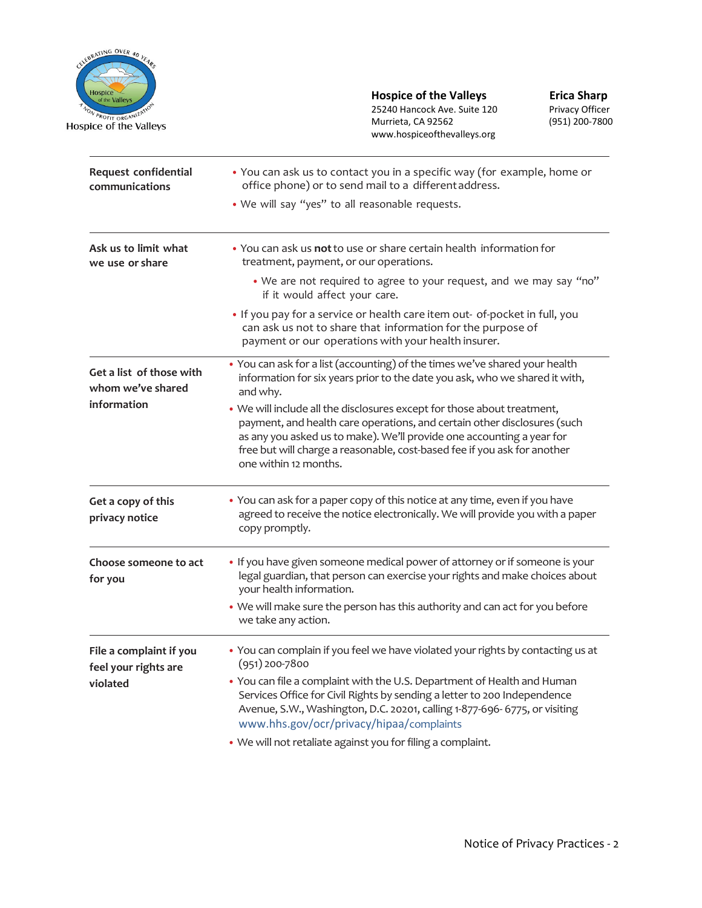

**Hospice of the Valleys Erica Sharp**  $\sqrt{\frac{N_{\alpha N_{\alpha}}}{N_{\alpha N_{\alpha}}}}$  25240 Hancock Ave. Suite 120 Privacy Officer Murrieta, CA 92562 (951) 200-7800 www.hospiceofthevalleys.org

| Request confidential<br>communications                       | • You can ask us to contact you in a specific way (for example, home or<br>office phone) or to send mail to a different address.<br>. We will say "yes" to all reasonable requests.                                                                                                                                               |
|--------------------------------------------------------------|-----------------------------------------------------------------------------------------------------------------------------------------------------------------------------------------------------------------------------------------------------------------------------------------------------------------------------------|
| Ask us to limit what<br>we use or share                      | . You can ask us not to use or share certain health information for<br>treatment, payment, or our operations.                                                                                                                                                                                                                     |
|                                                              | • We are not required to agree to your request, and we may say "no"<br>if it would affect your care.                                                                                                                                                                                                                              |
|                                                              | . If you pay for a service or health care item out- of-pocket in full, you<br>can ask us not to share that information for the purpose of<br>payment or our operations with your health insurer.                                                                                                                                  |
| Get a list of those with<br>whom we've shared<br>information | • You can ask for a list (accounting) of the times we've shared your health<br>information for six years prior to the date you ask, who we shared it with,<br>and why.                                                                                                                                                            |
|                                                              | . We will include all the disclosures except for those about treatment,<br>payment, and health care operations, and certain other disclosures (such<br>as any you asked us to make). We'll provide one accounting a year for<br>free but will charge a reasonable, cost-based fee if you ask for another<br>one within 12 months. |
| Get a copy of this<br>privacy notice                         | • You can ask for a paper copy of this notice at any time, even if you have<br>agreed to receive the notice electronically. We will provide you with a paper<br>copy promptly.                                                                                                                                                    |
| Choose someone to act<br>for you                             | . If you have given someone medical power of attorney or if someone is your<br>legal guardian, that person can exercise your rights and make choices about<br>your health information.                                                                                                                                            |
|                                                              | • We will make sure the person has this authority and can act for you before<br>we take any action.                                                                                                                                                                                                                               |
| File a complaint if you<br>feel your rights are<br>violated  | • You can complain if you feel we have violated your rights by contacting us at<br>$(951)$ 200-7800                                                                                                                                                                                                                               |
|                                                              | • You can file a complaint with the U.S. Department of Health and Human<br>Services Office for Civil Rights by sending a letter to 200 Independence<br>Avenue, S.W., Washington, D.C. 20201, calling 1-877-696- 6775, or visiting<br>www.hhs.gov/ocr/privacy/hipaa/complaints                                                     |
|                                                              | • We will not retaliate against you for filing a complaint.                                                                                                                                                                                                                                                                       |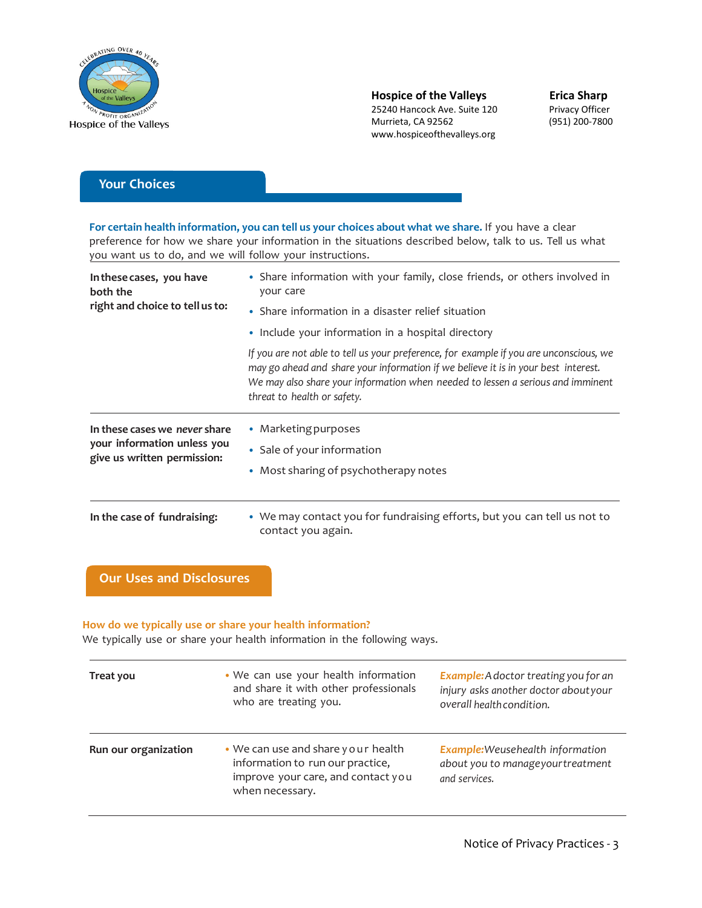

 $\frac{\rho_{R_{\text{Off}}}}{\rho_{R_{\text{Off}}}}$  organization of the suite 120 Murrieta, CA 92562 (951) 200-7800 www.hospiceofthevalleys.org

## **Your Choices**

**For certain health information, you can tell us your choices about what we share.** If you have a clear preference for how we share your information in the situations described below, talk to us. Tell us what you want us to do, and we will follow your instructions.

| In these cases, you have<br>both the<br>right and choice to tell us to:                     | • Share information with your family, close friends, or others involved in<br>your care                                                                                                                                                                                                        |  |
|---------------------------------------------------------------------------------------------|------------------------------------------------------------------------------------------------------------------------------------------------------------------------------------------------------------------------------------------------------------------------------------------------|--|
|                                                                                             | • Share information in a disaster relief situation<br>• Include your information in a hospital directory                                                                                                                                                                                       |  |
|                                                                                             |                                                                                                                                                                                                                                                                                                |  |
|                                                                                             | If you are not able to tell us your preference, for example if you are unconscious, we<br>may go ahead and share your information if we believe it is in your best interest.<br>We may also share your information when needed to lessen a serious and imminent<br>threat to health or safety. |  |
| In these cases we never share<br>your information unless you<br>give us written permission: | • Marketing purposes                                                                                                                                                                                                                                                                           |  |
|                                                                                             | • Sale of your information                                                                                                                                                                                                                                                                     |  |
|                                                                                             | • Most sharing of psychotherapy notes                                                                                                                                                                                                                                                          |  |
|                                                                                             |                                                                                                                                                                                                                                                                                                |  |
| In the case of fundraising:                                                                 | • We may contact you for fundraising efforts, but you can tell us not to<br>contact you again.                                                                                                                                                                                                 |  |

## **Our Uses and Disclosures**

#### **How do we typically use or share your health information?**

We typically use or share your health information in the following ways.

| Treat you            | • We can use your health information<br>and share it with other professionals<br>who are treating you.                          | <b>Example:</b> A doctor treating you for an<br>injury asks another doctor aboutyour<br>overall health condition. |
|----------------------|---------------------------------------------------------------------------------------------------------------------------------|-------------------------------------------------------------------------------------------------------------------|
| Run our organization | • We can use and share your health<br>information to run our practice,<br>improve your care, and contact you<br>when necessary. | <b>Example:</b> Weusehealth information<br>about you to manageyourtreatment<br>and services.                      |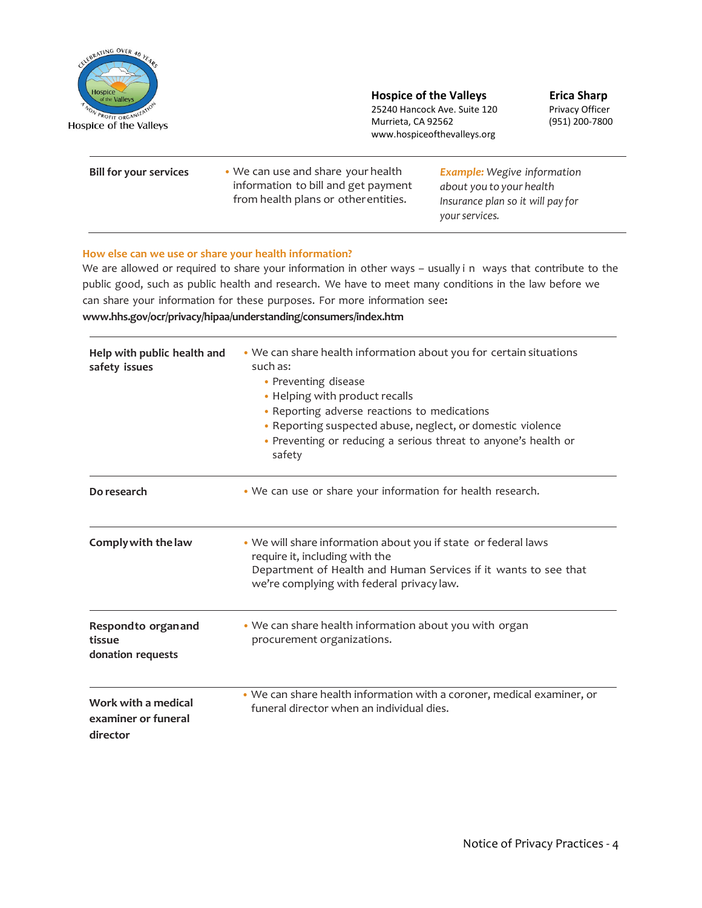

**Hospice of the Valleys Erica Sharp**<br> **Example 25240 Hancock Ave. Suite 120** Privacy Officer

 $\frac{P_{ROFIT\_ORGAN/L} \times 10^{10}}{25240 \text{ Hancock Ave}}$ . Suite 120 Murrieta, CA 92562 (951) 200-7800 www.hospiceofthevalleys.org

| <b>Bill for your services</b> | • We can use and share your health<br>information to bill and get payment<br>from health plans or other entities. | <b>Example:</b> Wegive information<br>about you to your health<br>Insurance plan so it will pay for<br>your services. |
|-------------------------------|-------------------------------------------------------------------------------------------------------------------|-----------------------------------------------------------------------------------------------------------------------|
|                               |                                                                                                                   |                                                                                                                       |

#### **How else can we use or share your health information?**

We are allowed or required to share your information in other ways – usually i n ways that contribute to the public good, such as public health and research. We have to meet many conditions in the law before we can share your information for these purposes. For more information see**: [www.hhs.gov/ocr/privacy/hipaa/understanding/consumers/index.htm](http://www.hhs.gov/ocr/privacy/hipaa/understanding/consumers/index.html)**

| Help with public health and<br>safety issues           | • We can share health information about you for certain situations<br>such as:<br>• Preventing disease<br>• Helping with product recalls<br>• Reporting adverse reactions to medications<br>• Reporting suspected abuse, neglect, or domestic violence<br>• Preventing or reducing a serious threat to anyone's health or<br>safety |
|--------------------------------------------------------|-------------------------------------------------------------------------------------------------------------------------------------------------------------------------------------------------------------------------------------------------------------------------------------------------------------------------------------|
| Do research                                            | • We can use or share your information for health research.                                                                                                                                                                                                                                                                         |
| Comply with the law                                    | . We will share information about you if state or federal laws<br>require it, including with the<br>Department of Health and Human Services if it wants to see that<br>we're complying with federal privacy law.                                                                                                                    |
| Respondto organand<br>tissue<br>donation requests      | • We can share health information about you with organ<br>procurement organizations.                                                                                                                                                                                                                                                |
| Work with a medical<br>examiner or funeral<br>director | • We can share health information with a coroner, medical examiner, or<br>funeral director when an individual dies.                                                                                                                                                                                                                 |